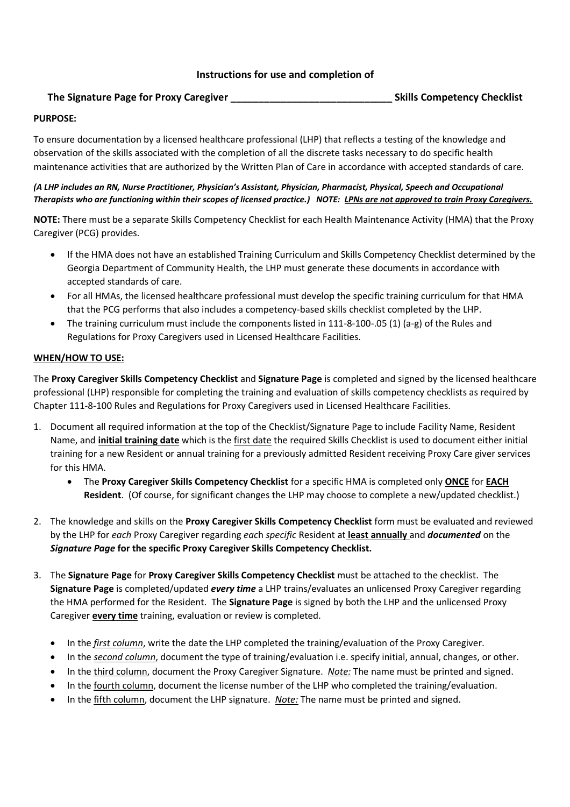# **Instructions for use and completion of**

# **The Signature Page for Proxy Caregiver \_\_\_\_\_\_\_\_\_\_\_\_\_\_\_\_\_\_\_\_\_\_\_\_\_\_\_\_\_ Skills Competency Checklist**

### **PURPOSE:**

To ensure documentation by a licensed healthcare professional (LHP) that reflects a testing of the knowledge and observation of the skills associated with the completion of all the discrete tasks necessary to do specific health maintenance activities that are authorized by the Written Plan of Care in accordance with accepted standards of care.

### *(A LHP includes an RN, Nurse Practitioner, Physician's Assistant, Physician, Pharmacist, Physical, Speech and Occupational Therapists who are functioning within their scopes of licensed practice.) NOTE: LPNs are not approved to train Proxy Caregivers.*

**NOTE:** There must be a separate Skills Competency Checklist for each Health Maintenance Activity (HMA) that the Proxy Caregiver (PCG) provides.

- If the HMA does not have an established Training Curriculum and Skills Competency Checklist determined by the Georgia Department of Community Health, the LHP must generate these documents in accordance with accepted standards of care.
- For all HMAs, the licensed healthcare professional must develop the specific training curriculum for that HMA that the PCG performs that also includes a competency-based skills checklist completed by the LHP.
- The training curriculum must include the components listed in 111-8-100-.05 (1) (a-g) of the Rules and Regulations for Proxy Caregivers used in Licensed Healthcare Facilities.

### **WHEN/HOW TO USE:**

The **Proxy Caregiver Skills Competency Checklist** and **Signature Page** is completed and signed by the licensed healthcare professional (LHP) responsible for completing the training and evaluation of skills competency checklists as required by Chapter 111-8-100 Rules and Regulations for Proxy Caregivers used in Licensed Healthcare Facilities.

- 1. Document all required information at the top of the Checklist/Signature Page to include Facility Name, Resident Name, and **initial training date** which is the first date the required Skills Checklist is used to document either initial training for a new Resident or annual training for a previously admitted Resident receiving Proxy Care giver services for this HMA.
	- The **Proxy Caregiver Skills Competency Checklist** for a specific HMA is completed only **ONCE** for **EACH Resident**. (Of course, for significant changes the LHP may choose to complete a new/updated checklist.)
- 2. The knowledge and skills on the **Proxy Caregiver Skills Competency Checklist** form must be evaluated and reviewed by the LHP for *each* Proxy Caregiver regarding *eac*h *specific* Resident at **least annually** and *documented* on the *Signature Page* **for the specific Proxy Caregiver Skills Competency Checklist.**
- 3. The **Signature Page** for **Proxy Caregiver Skills Competency Checklist** must be attached to the checklist. The **Signature Page** is completed/updated *every time* a LHP trains/evaluates an unlicensed Proxy Caregiver regarding the HMA performed for the Resident. The **Signature Page** is signed by both the LHP and the unlicensed Proxy Caregiver **every time** training, evaluation or review is completed.
	- In the *first column*, write the date the LHP completed the training/evaluation of the Proxy Caregiver.
	- In the *second column*, document the type of training/evaluation i.e. specify initial, annual, changes, or other.
	- In the third column, document the Proxy Caregiver Signature. *Note:* The name must be printed and signed.
	- In the fourth column, document the license number of the LHP who completed the training/evaluation.
	- In the fifth column, document the LHP signature. *Note:* The name must be printed and signed.